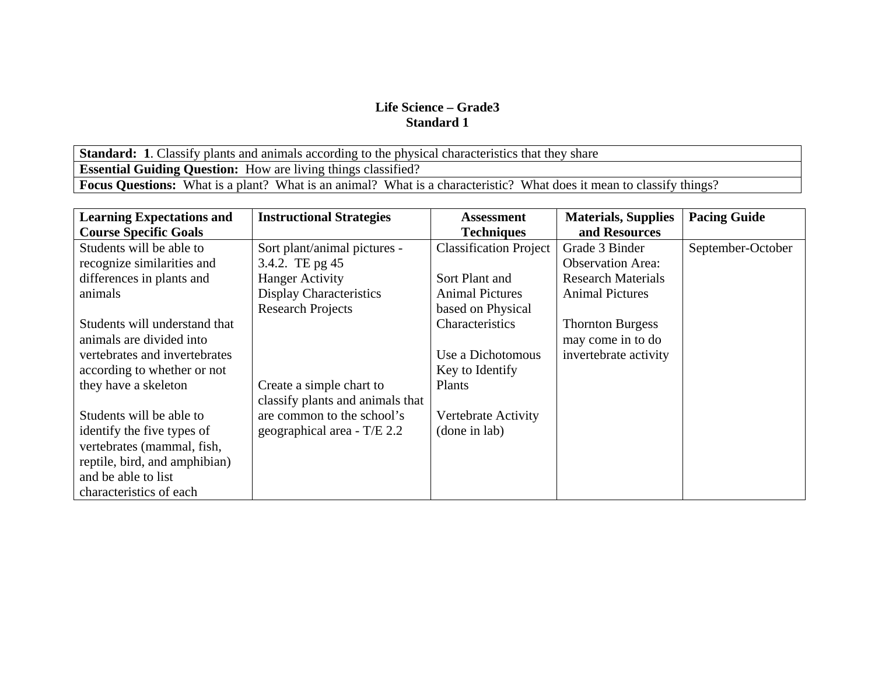**Standard: 1.** Classify plants and animals according to the physical characteristics that they share **Essential Guiding Question:** How are living things classified? **Focus Questions:** What is a plant? What is an animal? What is a characteristic? What does it mean to classify things?

| <b>Learning Expectations and</b> | <b>Instructional Strategies</b>  | <b>Assessment</b>             | <b>Materials, Supplies</b> | <b>Pacing Guide</b> |
|----------------------------------|----------------------------------|-------------------------------|----------------------------|---------------------|
| <b>Course Specific Goals</b>     |                                  | <b>Techniques</b>             | and Resources              |                     |
| Students will be able to         | Sort plant/animal pictures -     | <b>Classification Project</b> | Grade 3 Binder             | September-October   |
| recognize similarities and       | 3.4.2. TE pg 45                  |                               | <b>Observation Area:</b>   |                     |
| differences in plants and        | <b>Hanger Activity</b>           | Sort Plant and                | <b>Research Materials</b>  |                     |
| animals                          | <b>Display Characteristics</b>   | <b>Animal Pictures</b>        | <b>Animal Pictures</b>     |                     |
|                                  | <b>Research Projects</b>         | based on Physical             |                            |                     |
| Students will understand that    |                                  | Characteristics               | <b>Thornton Burgess</b>    |                     |
| animals are divided into         |                                  |                               | may come in to do          |                     |
| vertebrates and invertebrates    |                                  | Use a Dichotomous             | invertebrate activity      |                     |
| according to whether or not      |                                  | Key to Identify               |                            |                     |
| they have a skeleton             | Create a simple chart to         | Plants                        |                            |                     |
|                                  | classify plants and animals that |                               |                            |                     |
| Students will be able to         | are common to the school's       | Vertebrate Activity           |                            |                     |
| identify the five types of       | geographical area - $T/E$ 2.2    | (done in lab)                 |                            |                     |
| vertebrates (mammal, fish,       |                                  |                               |                            |                     |
| reptile, bird, and amphibian)    |                                  |                               |                            |                     |
| and be able to list              |                                  |                               |                            |                     |
| characteristics of each          |                                  |                               |                            |                     |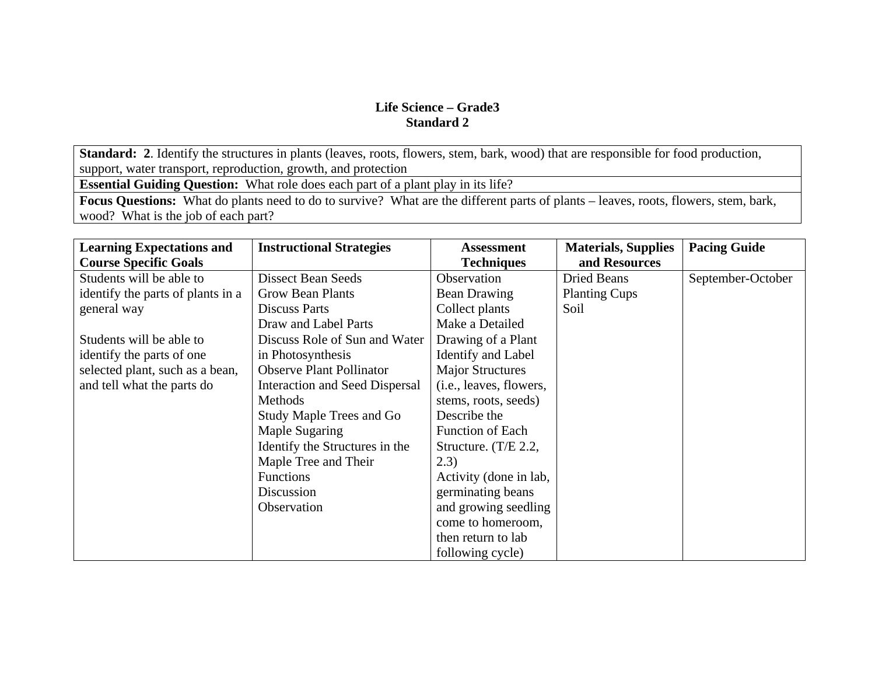**Standard: 2**. Identify the structures in plants (leaves, roots, flowers, stem, bark, wood) that are responsible for food production, support, water transport, reproduction, growth, and protection

**Essential Guiding Question:** What role does each part of a plant play in its life?

**Focus Questions:** What do plants need to do to survive? What are the different parts of plants – leaves, roots, flowers, stem, bark, wood? What is the job of each part?

| <b>Learning Expectations and</b><br><b>Course Specific Goals</b> | <b>Instructional Strategies</b>       | <b>Assessment</b><br><b>Techniques</b> | <b>Materials, Supplies</b><br>and Resources | <b>Pacing Guide</b> |
|------------------------------------------------------------------|---------------------------------------|----------------------------------------|---------------------------------------------|---------------------|
| Students will be able to                                         | <b>Dissect Bean Seeds</b>             | Observation                            | Dried Beans                                 | September-October   |
|                                                                  |                                       |                                        |                                             |                     |
| identify the parts of plants in a                                | <b>Grow Bean Plants</b>               | <b>Bean Drawing</b>                    | <b>Planting Cups</b>                        |                     |
| general way                                                      | <b>Discuss Parts</b>                  | Collect plants                         | Soil                                        |                     |
|                                                                  | Draw and Label Parts                  | Make a Detailed                        |                                             |                     |
| Students will be able to                                         | Discuss Role of Sun and Water         | Drawing of a Plant                     |                                             |                     |
| identify the parts of one                                        | in Photosynthesis                     | Identify and Label                     |                                             |                     |
| selected plant, such as a bean,                                  | <b>Observe Plant Pollinator</b>       | <b>Major Structures</b>                |                                             |                     |
| and tell what the parts do                                       | <b>Interaction and Seed Dispersal</b> | (i.e., leaves, flowers,                |                                             |                     |
|                                                                  | Methods                               | stems, roots, seeds)                   |                                             |                     |
|                                                                  | <b>Study Maple Trees and Go</b>       | Describe the                           |                                             |                     |
|                                                                  | <b>Maple Sugaring</b>                 | <b>Function of Each</b>                |                                             |                     |
|                                                                  | Identify the Structures in the        | Structure. $(T/E 2.2,$                 |                                             |                     |
|                                                                  | Maple Tree and Their                  | (2.3)                                  |                                             |                     |
|                                                                  | <b>Functions</b>                      | Activity (done in lab,                 |                                             |                     |
|                                                                  | Discussion                            | germinating beans                      |                                             |                     |
|                                                                  | Observation                           | and growing seedling                   |                                             |                     |
|                                                                  |                                       | come to homeroom,                      |                                             |                     |
|                                                                  |                                       | then return to lab                     |                                             |                     |
|                                                                  |                                       | following cycle)                       |                                             |                     |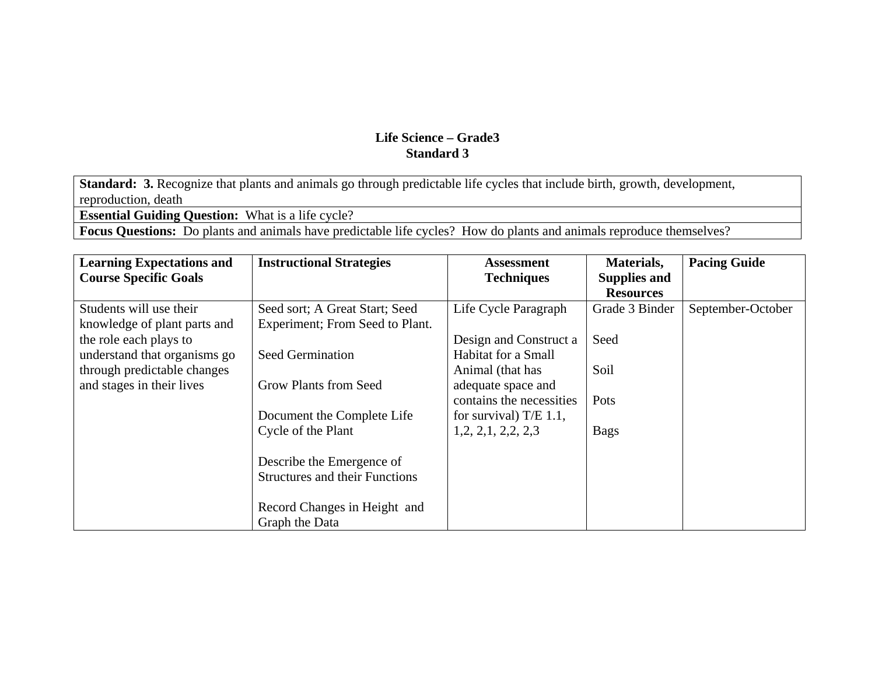**Standard: 3.** Recognize that plants and animals go through predictable life cycles that include birth, growth, development, reproduction, death

**Essential Guiding Question:** What is a life cycle?

**Focus Questions:** Do plants and animals have predictable life cycles? How do plants and animals reproduce themselves?

| <b>Learning Expectations and</b> | <b>Instructional Strategies</b>       | <b>Assessment</b>        | Materials,          | <b>Pacing Guide</b> |
|----------------------------------|---------------------------------------|--------------------------|---------------------|---------------------|
| <b>Course Specific Goals</b>     |                                       | <b>Techniques</b>        | <b>Supplies and</b> |                     |
|                                  |                                       |                          | <b>Resources</b>    |                     |
| Students will use their          | Seed sort; A Great Start; Seed        | Life Cycle Paragraph     | Grade 3 Binder      | September-October   |
| knowledge of plant parts and     | Experiment; From Seed to Plant.       |                          |                     |                     |
| the role each plays to           |                                       | Design and Construct a   | Seed                |                     |
| understand that organisms go     | <b>Seed Germination</b>               | Habitat for a Small      |                     |                     |
| through predictable changes      |                                       | Animal (that has         | Soil                |                     |
| and stages in their lives        | Grow Plants from Seed                 | adequate space and       |                     |                     |
|                                  |                                       | contains the necessities | Pots                |                     |
|                                  | Document the Complete Life            | for survival) $T/E$ 1.1, |                     |                     |
|                                  | Cycle of the Plant                    | 1, 2, 2, 1, 2, 2, 2, 3   | <b>Bags</b>         |                     |
|                                  |                                       |                          |                     |                     |
|                                  | Describe the Emergence of             |                          |                     |                     |
|                                  | <b>Structures and their Functions</b> |                          |                     |                     |
|                                  |                                       |                          |                     |                     |
|                                  | Record Changes in Height and          |                          |                     |                     |
|                                  | Graph the Data                        |                          |                     |                     |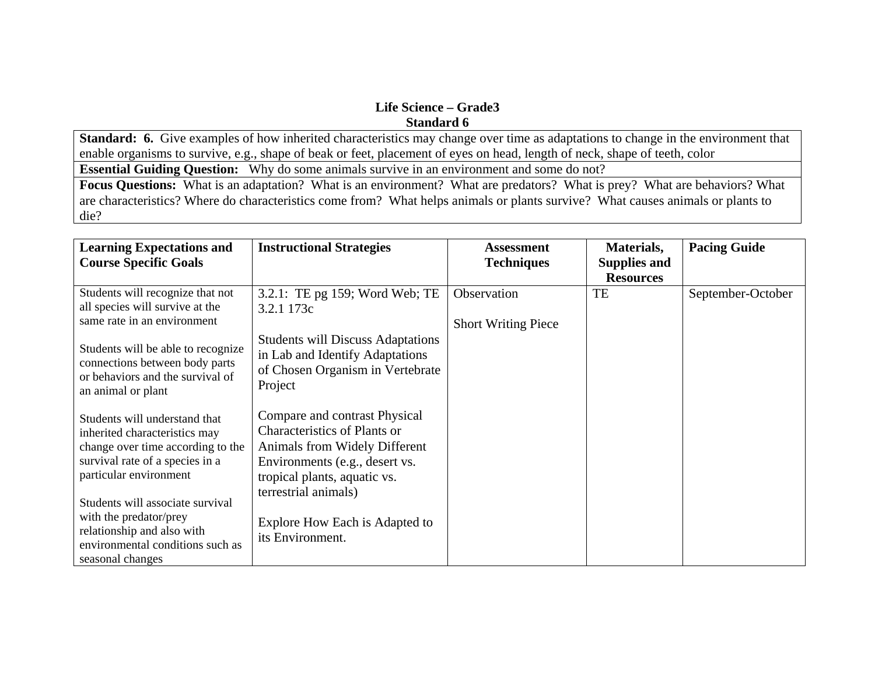**Standard: 6.** Give examples of how inherited characteristics may change over time as adaptations to change in the environment that enable organisms to survive, e.g., shape of beak or feet, placement of eyes on head, length of neck, shape of teeth, color

**Essential Guiding Question:** Why do some animals survive in an environment and some do not?

**Focus Questions:** What is an adaptation? What is an environment? What are predators? What is prey? What are behaviors? What are characteristics? Where do characteristics come from? What helps animals or plants survive? What causes animals or plants to die?

| <b>Learning Expectations and</b><br><b>Course Specific Goals</b>                                                                                                                                                                                                                                                     | <b>Instructional Strategies</b>                                                                                                                                                                                                                       | <b>Assessment</b><br><b>Techniques</b>    | Materials,<br><b>Supplies and</b><br><b>Resources</b> | <b>Pacing Guide</b> |
|----------------------------------------------------------------------------------------------------------------------------------------------------------------------------------------------------------------------------------------------------------------------------------------------------------------------|-------------------------------------------------------------------------------------------------------------------------------------------------------------------------------------------------------------------------------------------------------|-------------------------------------------|-------------------------------------------------------|---------------------|
| Students will recognize that not<br>all species will survive at the<br>same rate in an environment<br>Students will be able to recognize<br>connections between body parts<br>or behaviors and the survival of<br>an animal or plant                                                                                 | 3.2.1: TE pg 159; Word Web; TE<br>3.2.1 173c<br><b>Students will Discuss Adaptations</b><br>in Lab and Identify Adaptations<br>of Chosen Organism in Vertebrate<br>Project                                                                            | Observation<br><b>Short Writing Piece</b> | TE                                                    | September-October   |
| Students will understand that<br>inherited characteristics may<br>change over time according to the<br>survival rate of a species in a<br>particular environment<br>Students will associate survival<br>with the predator/prey<br>relationship and also with<br>environmental conditions such as<br>seasonal changes | Compare and contrast Physical<br><b>Characteristics of Plants or</b><br>Animals from Widely Different<br>Environments (e.g., desert vs.<br>tropical plants, aquatic vs.<br>terrestrial animals)<br>Explore How Each is Adapted to<br>its Environment. |                                           |                                                       |                     |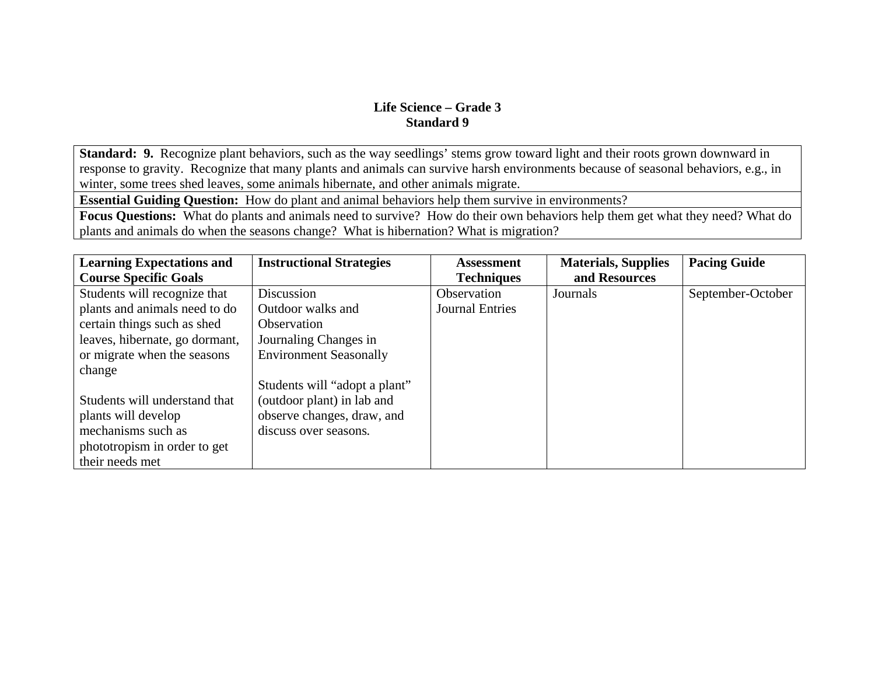**Standard: 9.** Recognize plant behaviors, such as the way seedlings' stems grow toward light and their roots grown downward in response to gravity. Recognize that many plants and animals can survive harsh environments because of seasonal behaviors, e.g., in winter, some trees shed leaves, some animals hibernate, and other animals migrate.

**Essential Guiding Question:** How do plant and animal behaviors help them survive in environments?

**Focus Questions:** What do plants and animals need to survive? How do their own behaviors help them get what they need? What do plants and animals do when the seasons change? What is hibernation? What is migration?

| <b>Learning Expectations and</b> | <b>Instructional Strategies</b> | <b>Assessment</b>      | <b>Materials, Supplies</b> | <b>Pacing Guide</b> |
|----------------------------------|---------------------------------|------------------------|----------------------------|---------------------|
| <b>Course Specific Goals</b>     |                                 | <b>Techniques</b>      | and Resources              |                     |
| Students will recognize that     | <b>Discussion</b>               | Observation            | Journals                   | September-October   |
| plants and animals need to do    | Outdoor walks and               | <b>Journal Entries</b> |                            |                     |
| certain things such as shed      | Observation                     |                        |                            |                     |
| leaves, hibernate, go dormant,   | Journaling Changes in           |                        |                            |                     |
| or migrate when the seasons      | <b>Environment Seasonally</b>   |                        |                            |                     |
| change                           |                                 |                        |                            |                     |
|                                  | Students will "adopt a plant"   |                        |                            |                     |
| Students will understand that    | (outdoor plant) in lab and      |                        |                            |                     |
| plants will develop              | observe changes, draw, and      |                        |                            |                     |
| mechanisms such as               | discuss over seasons.           |                        |                            |                     |
| phototropism in order to get     |                                 |                        |                            |                     |
| their needs met                  |                                 |                        |                            |                     |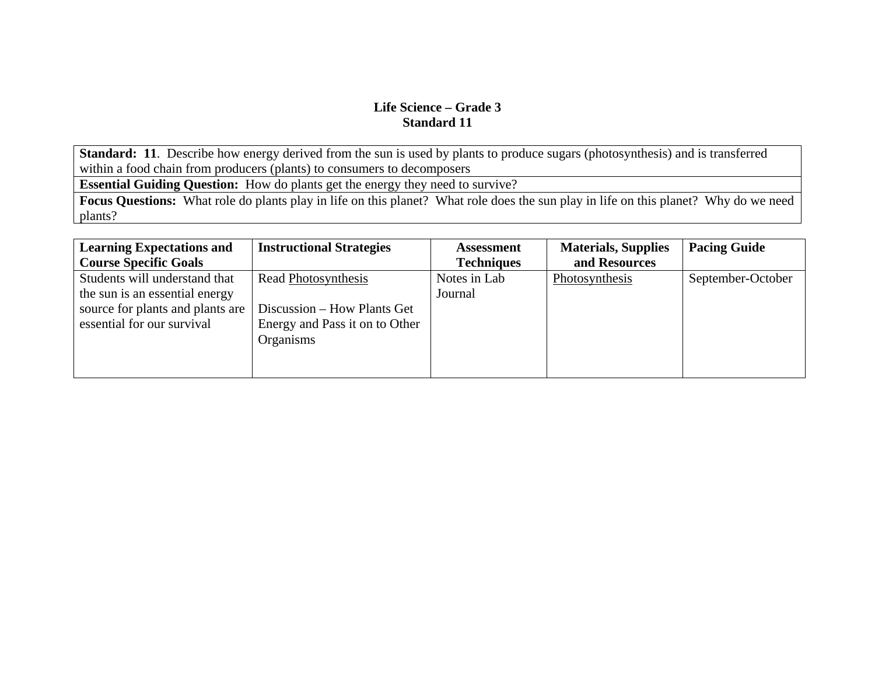**Standard: 11**. Describe how energy derived from the sun is used by plants to produce sugars (photosynthesis) and is transferred within a food chain from producers (plants) to consumers to decomposers

**Essential Guiding Question:** How do plants get the energy they need to survive?

**Focus Questions:** What role do plants play in life on this planet? What role does the sun play in life on this planet? Why do we need plants?

| <b>Learning Expectations and</b> | <b>Instructional Strategies</b> | <b>Assessment</b> | <b>Materials, Supplies</b> | <b>Pacing Guide</b> |
|----------------------------------|---------------------------------|-------------------|----------------------------|---------------------|
| <b>Course Specific Goals</b>     |                                 | <b>Techniques</b> | and Resources              |                     |
| Students will understand that    | Read Photosynthesis             | Notes in Lab      | Photosynthesis             | September-October   |
| the sun is an essential energy   |                                 | Journal           |                            |                     |
| source for plants and plants are | Discussion – How Plants Get     |                   |                            |                     |
| essential for our survival       | Energy and Pass it on to Other  |                   |                            |                     |
|                                  | Organisms                       |                   |                            |                     |
|                                  |                                 |                   |                            |                     |
|                                  |                                 |                   |                            |                     |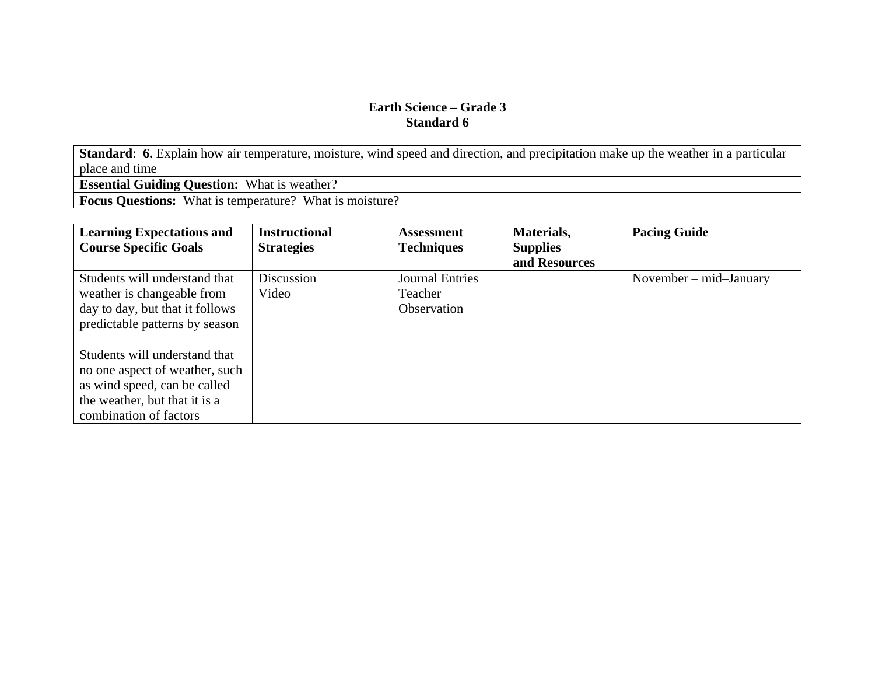**Standard: 6.** Explain how air temperature, moisture, wind speed and direction, and precipitation make up the weather in a particular place and time

**Essential Guiding Question:** What is weather?

**Focus Questions:** What is temperature? What is moisture?

| <b>Learning Expectations and</b> | <b>Instructional</b> | <b>Assessment</b>      | Materials,      | <b>Pacing Guide</b>          |
|----------------------------------|----------------------|------------------------|-----------------|------------------------------|
| <b>Course Specific Goals</b>     | <b>Strategies</b>    | <b>Techniques</b>      | <b>Supplies</b> |                              |
|                                  |                      |                        | and Resources   |                              |
| Students will understand that    | Discussion           | <b>Journal Entries</b> |                 | November $-$ mid $-$ January |
| weather is changeable from       | Video                | Teacher                |                 |                              |
| day to day, but that it follows  |                      | Observation            |                 |                              |
| predictable patterns by season   |                      |                        |                 |                              |
|                                  |                      |                        |                 |                              |
| Students will understand that    |                      |                        |                 |                              |
| no one aspect of weather, such   |                      |                        |                 |                              |
| as wind speed, can be called     |                      |                        |                 |                              |
| the weather, but that it is a    |                      |                        |                 |                              |
| combination of factors           |                      |                        |                 |                              |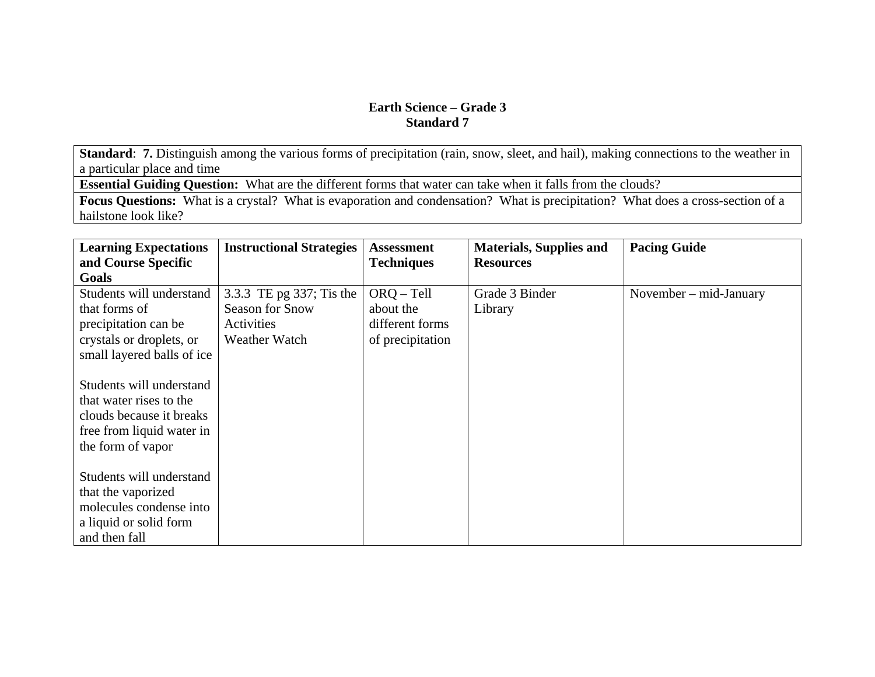**Standard: 7.** Distinguish among the various forms of precipitation (rain, snow, sleet, and hail), making connections to the weather in a particular place and time

**Essential Guiding Question:** What are the different forms that water can take when it falls from the clouds?

**Focus Questions:** What is a crystal? What is evaporation and condensation? What is precipitation? What does a cross-section of a hailstone look like?

| <b>Learning Expectations</b><br>and Course Specific                                                                                                             | <b>Instructional Strategies</b>                                                   | <b>Assessment</b><br><b>Techniques</b>                           | <b>Materials, Supplies and</b><br><b>Resources</b> | <b>Pacing Guide</b>      |
|-----------------------------------------------------------------------------------------------------------------------------------------------------------------|-----------------------------------------------------------------------------------|------------------------------------------------------------------|----------------------------------------------------|--------------------------|
| <b>Goals</b>                                                                                                                                                    |                                                                                   |                                                                  |                                                    |                          |
| Students will understand<br>that forms of<br>precipitation can be<br>crystals or droplets, or                                                                   | 3.3.3 TE pg 337; Tis the<br>Season for Snow<br>Activities<br><b>Weather Watch</b> | $ORQ - Tell$<br>about the<br>different forms<br>of precipitation | Grade 3 Binder<br>Library                          | November $-$ mid-January |
| small layered balls of ice<br>Students will understand<br>that water rises to the<br>clouds because it breaks<br>free from liquid water in<br>the form of vapor |                                                                                   |                                                                  |                                                    |                          |
| Students will understand<br>that the vaporized<br>molecules condense into<br>a liquid or solid form<br>and then fall                                            |                                                                                   |                                                                  |                                                    |                          |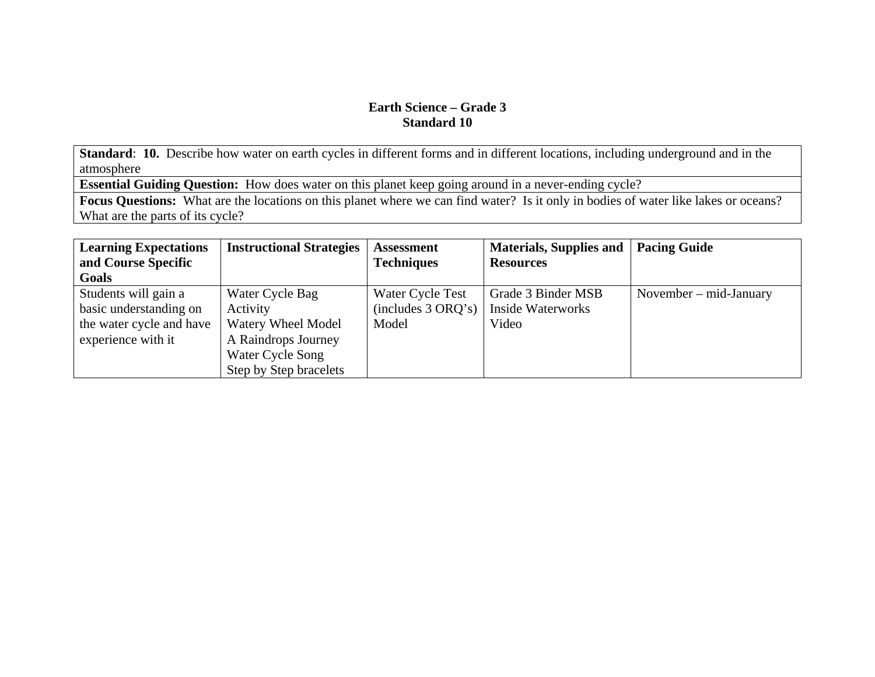**Standard**: **10.** Describe how water on earth cycles in different forms and in different locations, including underground and in the atmosphere

**Essential Guiding Question:** How does water on this planet keep going around in a never-ending cycle?

**Focus Questions:** What are the locations on this planet where we can find water? Is it only in bodies of water like lakes or oceans? What are the parts of its cycle?

| <b>Learning Expectations</b><br>and Course Specific | <b>Instructional Strategies</b> | <b>Assessment</b><br><b>Techniques</b> | Materials, Supplies and<br><b>Resources</b> | <b>Pacing Guide</b>      |
|-----------------------------------------------------|---------------------------------|----------------------------------------|---------------------------------------------|--------------------------|
| Goals                                               |                                 |                                        |                                             |                          |
| Students will gain a                                | Water Cycle Bag                 | Water Cycle Test                       | Grade 3 Binder MSB                          | November $-$ mid-January |
| basic understanding on                              | Activity                        | (includes 3 ORQ's)                     | <b>Inside Waterworks</b>                    |                          |
| the water cycle and have                            | <b>Watery Wheel Model</b>       | Model                                  | Video                                       |                          |
| experience with it                                  | A Raindrops Journey             |                                        |                                             |                          |
|                                                     | Water Cycle Song                |                                        |                                             |                          |
|                                                     | Step by Step bracelets          |                                        |                                             |                          |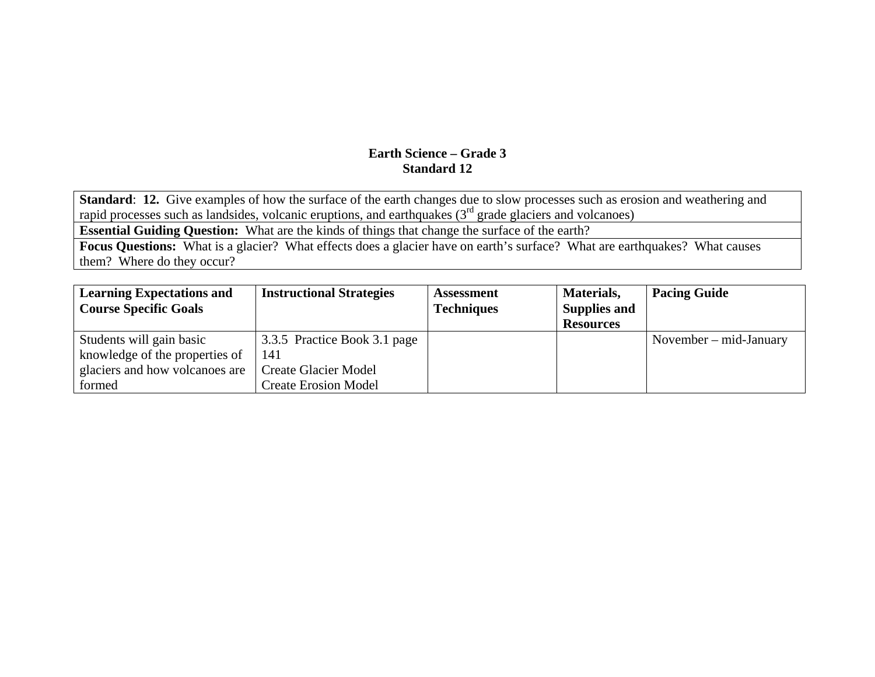**Standard**: **12.** Give examples of how the surface of the earth changes due to slow processes such as erosion and weathering and rapid processes such as landsides, volcanic eruptions, and earthquakes  $(3<sup>rd</sup>$  grade glaciers and volcanoes)

**Essential Guiding Question:** What are the kinds of things that change the surface of the earth?

**Focus Questions:** What is a glacier? What effects does a glacier have on earth's surface? What are earthquakes? What causes them? Where do they occur?

| <b>Learning Expectations and</b> | <b>Instructional Strategies</b> | <b>Assessment</b> | Materials,          | <b>Pacing Guide</b>      |
|----------------------------------|---------------------------------|-------------------|---------------------|--------------------------|
| <b>Course Specific Goals</b>     |                                 | <b>Techniques</b> | <b>Supplies and</b> |                          |
|                                  |                                 |                   | <b>Resources</b>    |                          |
| Students will gain basic         | 3.3.5 Practice Book 3.1 page    |                   |                     | November $-$ mid-January |
| knowledge of the properties of   | 141                             |                   |                     |                          |
| glaciers and how volcanoes are   | <b>Create Glacier Model</b>     |                   |                     |                          |
| formed                           | <b>Create Erosion Model</b>     |                   |                     |                          |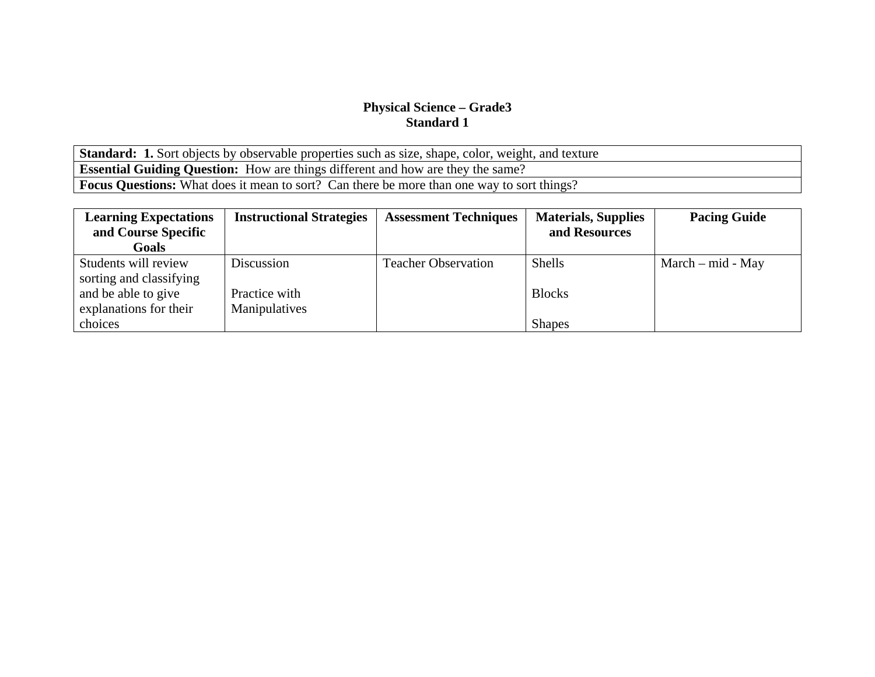Standard: 1. Sort objects by observable properties such as size, shape, color, weight, and texture **Essential Guiding Question:** How are things different and how are they the same? **Focus Questions:** What does it mean to sort? Can there be more than one way to sort things?

| <b>Learning Expectations</b> | <b>Instructional Strategies</b> | <b>Assessment Techniques</b> | <b>Materials, Supplies</b> | <b>Pacing Guide</b> |
|------------------------------|---------------------------------|------------------------------|----------------------------|---------------------|
| and Course Specific          |                                 |                              | and Resources              |                     |
| Goals                        |                                 |                              |                            |                     |
| Students will review         | Discussion                      | <b>Teacher Observation</b>   | <b>Shells</b>              | $March - mid - May$ |
| sorting and classifying      |                                 |                              |                            |                     |
| and be able to give          | Practice with                   |                              | <b>Blocks</b>              |                     |
| explanations for their       | Manipulatives                   |                              |                            |                     |
| choices                      |                                 |                              | <b>Shapes</b>              |                     |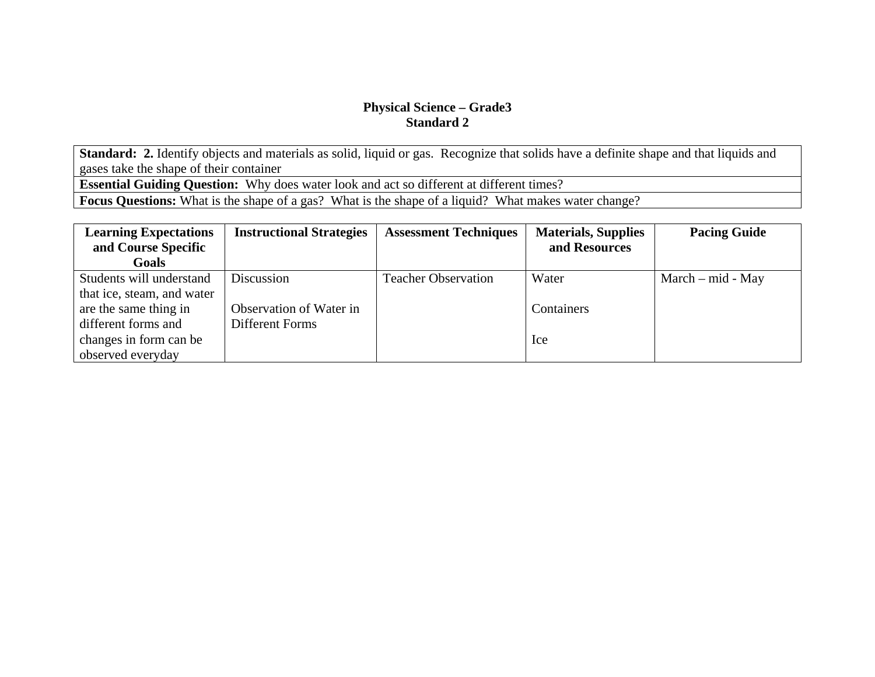Standard: 2. Identify objects and materials as solid, liquid or gas. Recognize that solids have a definite shape and that liquids and gases take the shape of their container

**Essential Guiding Question:** Why does water look and act so different at different times?

**Focus Questions:** What is the shape of a gas? What is the shape of a liquid? What makes water change?

| <b>Learning Expectations</b><br>and Course Specific | <b>Instructional Strategies</b> | <b>Assessment Techniques</b> | <b>Materials, Supplies</b><br>and Resources | <b>Pacing Guide</b> |
|-----------------------------------------------------|---------------------------------|------------------------------|---------------------------------------------|---------------------|
|                                                     |                                 |                              |                                             |                     |
| <b>Goals</b>                                        |                                 |                              |                                             |                     |
| Students will understand                            | Discussion                      | <b>Teacher Observation</b>   | Water                                       | $March - mid - May$ |
| that ice, steam, and water                          |                                 |                              |                                             |                     |
| are the same thing in                               | Observation of Water in         |                              | Containers                                  |                     |
| different forms and                                 | Different Forms                 |                              |                                             |                     |
| changes in form can be                              |                                 |                              | Ice                                         |                     |
| observed everyday                                   |                                 |                              |                                             |                     |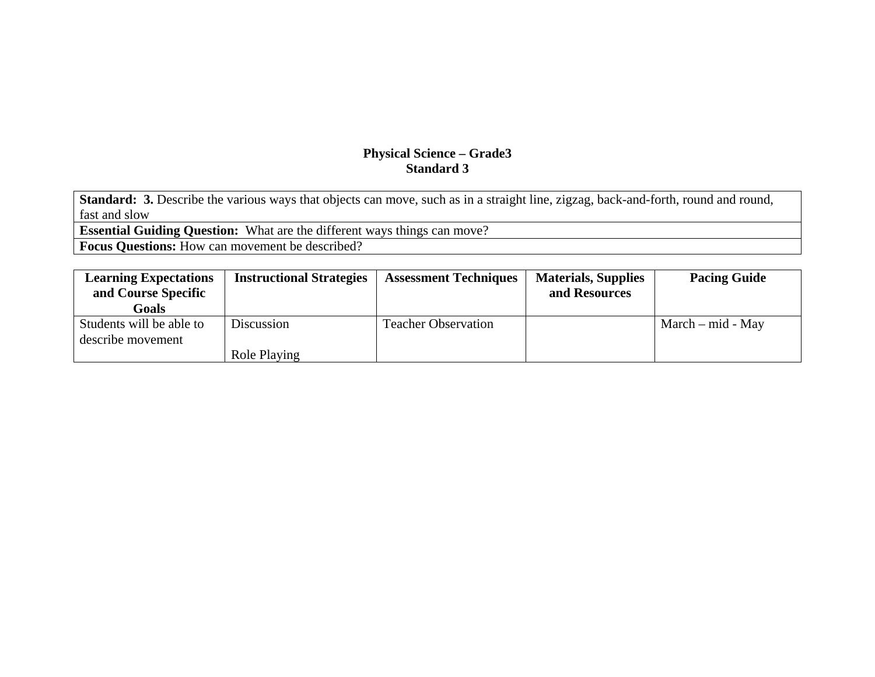**Standard: 3.** Describe the various ways that objects can move, such as in a straight line, zigzag, back-and-forth, round and round, fast and slow

**Essential Guiding Question:** What are the different ways things can move?

**Focus Questions:** How can movement be described?

| <b>Learning Expectations</b>                  | <b>Instructional Strategies</b> | <b>Assessment Techniques</b> | <b>Materials, Supplies</b> | <b>Pacing Guide</b> |
|-----------------------------------------------|---------------------------------|------------------------------|----------------------------|---------------------|
| and Course Specific                           |                                 |                              | and Resources              |                     |
| Goals                                         |                                 |                              |                            |                     |
| Students will be able to<br>describe movement | Discussion                      | <b>Teacher Observation</b>   |                            | $March - mid - May$ |
|                                               | Role Playing                    |                              |                            |                     |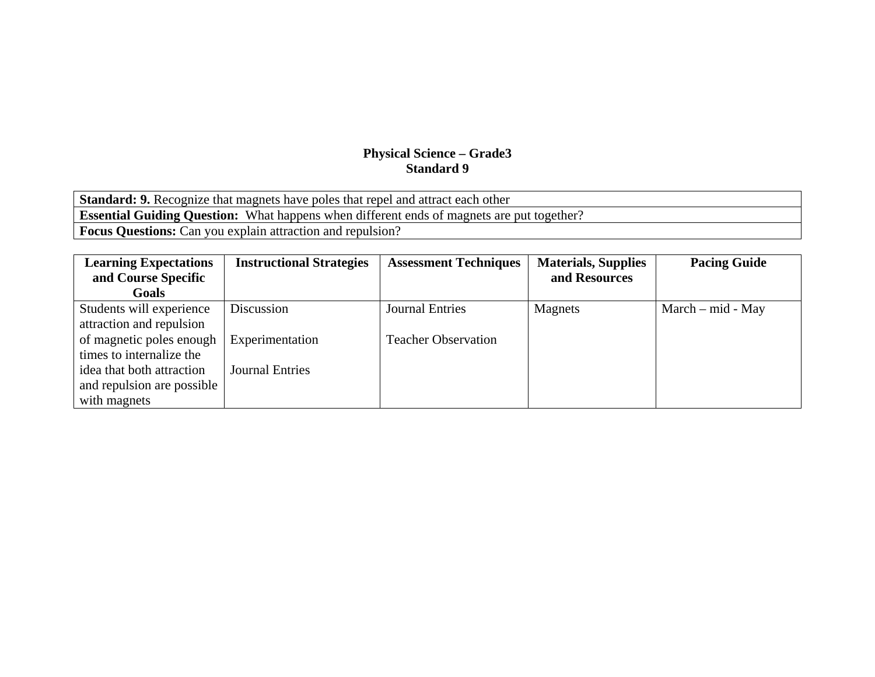**Standard: 9.** Recognize that magnets have poles that repel and attract each other **Essential Guiding Question:** What happens when different ends of magnets are put together? **Focus Questions:** Can you explain attraction and repulsion?

| <b>Learning Expectations</b> | <b>Instructional Strategies</b> | <b>Assessment Techniques</b> | <b>Materials, Supplies</b> | <b>Pacing Guide</b> |
|------------------------------|---------------------------------|------------------------------|----------------------------|---------------------|
| and Course Specific          |                                 |                              | and Resources              |                     |
| <b>Goals</b>                 |                                 |                              |                            |                     |
| Students will experience     | Discussion                      | <b>Journal Entries</b>       | Magnets                    | $March - mid - May$ |
| attraction and repulsion     |                                 |                              |                            |                     |
| of magnetic poles enough     | Experimentation                 | <b>Teacher Observation</b>   |                            |                     |
| times to internalize the     |                                 |                              |                            |                     |
| idea that both attraction    | <b>Journal Entries</b>          |                              |                            |                     |
| and repulsion are possible   |                                 |                              |                            |                     |
| with magnets                 |                                 |                              |                            |                     |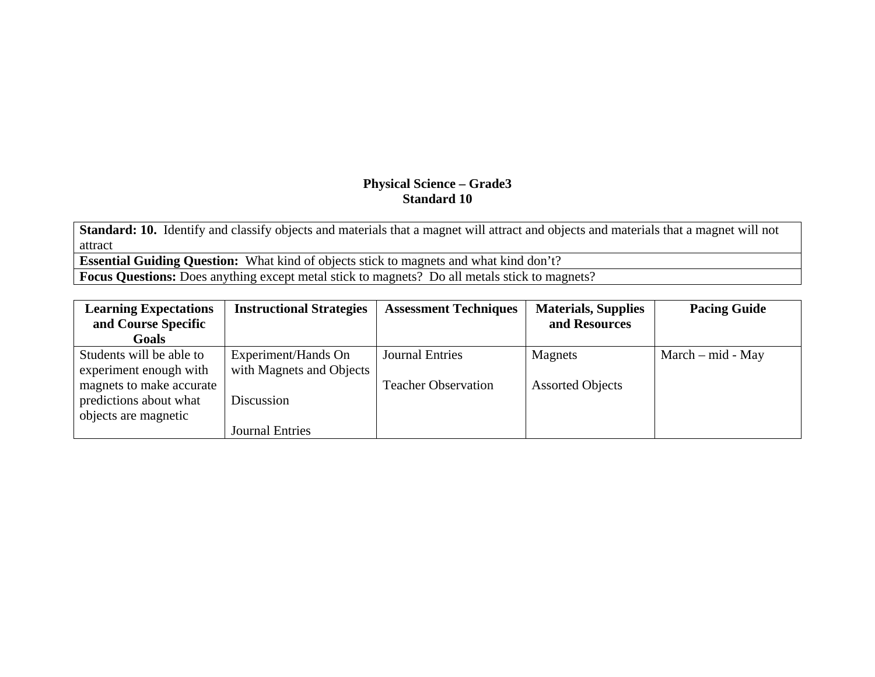**Standard: 10.** Identify and classify objects and materials that a magnet will attract and objects and materials that a magnet will not attract

**Essential Guiding Question:** What kind of objects stick to magnets and what kind don't?

**Focus Questions:** Does anything except metal stick to magnets? Do all metals stick to magnets?

| <b>Learning Expectations</b><br>and Course Specific                        | <b>Instructional Strategies</b>                 | <b>Assessment Techniques</b> | <b>Materials, Supplies</b><br>and Resources | <b>Pacing Guide</b> |
|----------------------------------------------------------------------------|-------------------------------------------------|------------------------------|---------------------------------------------|---------------------|
| <b>Goals</b>                                                               |                                                 |                              |                                             |                     |
| Students will be able to<br>experiment enough with                         | Experiment/Hands On<br>with Magnets and Objects | <b>Journal Entries</b>       | Magnets                                     | $March - mid - May$ |
| magnets to make accurate<br>predictions about what<br>objects are magnetic | Discussion<br><b>Journal Entries</b>            | <b>Teacher Observation</b>   | <b>Assorted Objects</b>                     |                     |